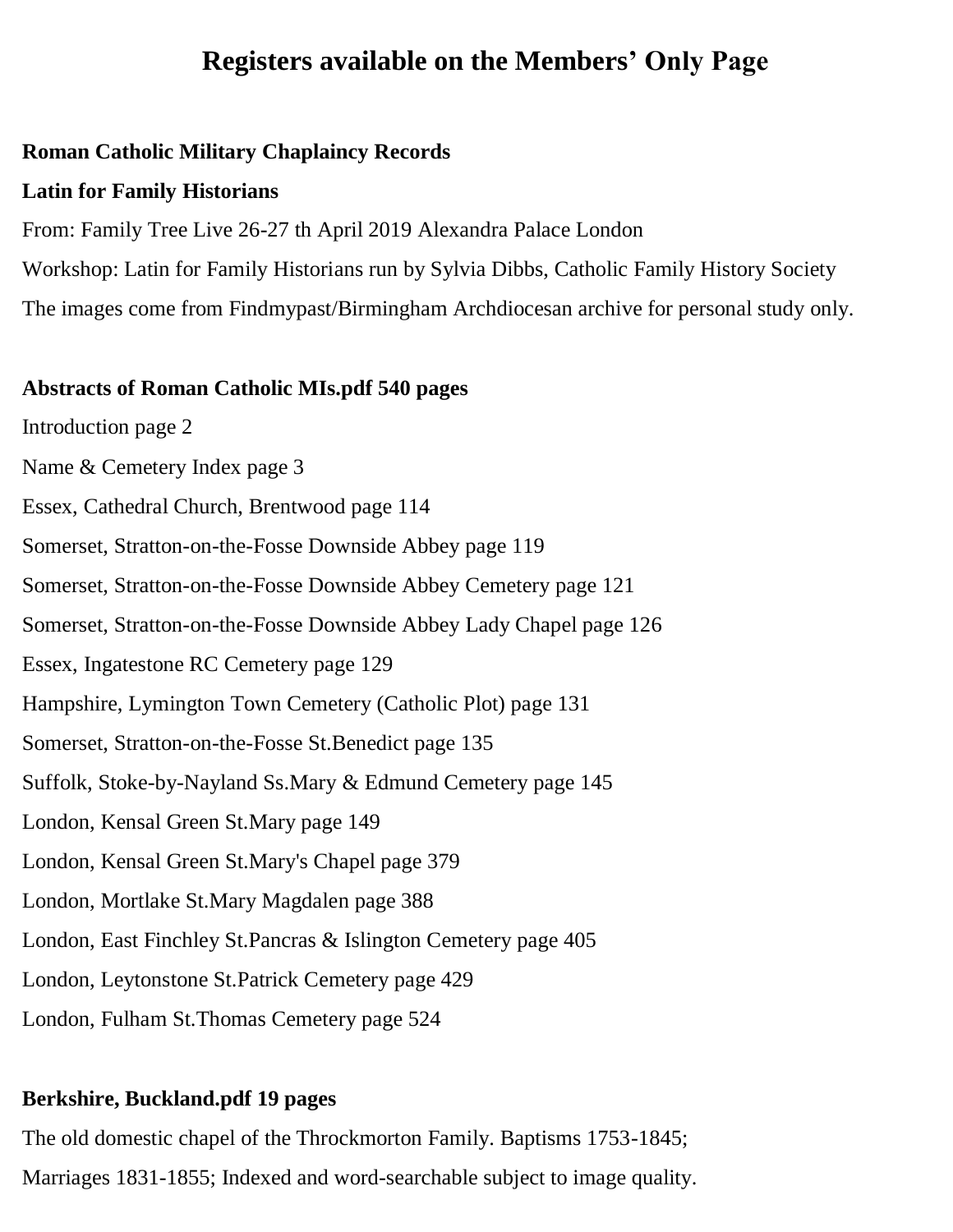# **Registers available on the Members' Only Page**

#### **Roman Catholic Military Chaplaincy Records**

#### **Latin for Family Historians**

From: Family Tree Live 26-27 th April 2019 Alexandra Palace London Workshop: Latin for Family Historians run by Sylvia Dibbs, Catholic Family History Society The images come from Findmypast/Birmingham Archdiocesan archive for personal study only.

#### **Abstracts of Roman Catholic MIs.pdf 540 pages**

Introduction page 2

Name & Cemetery Index page 3

Essex, Cathedral Church, Brentwood page 114

Somerset, Stratton-on-the-Fosse Downside Abbey page 119

Somerset, Stratton-on-the-Fosse Downside Abbey Cemetery page 121

Somerset, Stratton-on-the-Fosse Downside Abbey Lady Chapel page 126

Essex, Ingatestone RC Cemetery page 129

Hampshire, Lymington Town Cemetery (Catholic Plot) page 131

Somerset, Stratton-on-the-Fosse St.Benedict page 135

Suffolk, Stoke-by-Nayland Ss.Mary & Edmund Cemetery page 145

London, Kensal Green St.Mary page 149

London, Kensal Green St.Mary's Chapel page 379

London, Mortlake St.Mary Magdalen page 388

London, East Finchley St.Pancras & Islington Cemetery page 405

London, Leytonstone St.Patrick Cemetery page 429

London, Fulham St.Thomas Cemetery page 524

#### **Berkshire, Buckland.pdf 19 pages**

The old domestic chapel of the Throckmorton Family. Baptisms 1753-1845; Marriages 1831-1855; Indexed and word-searchable subject to image quality.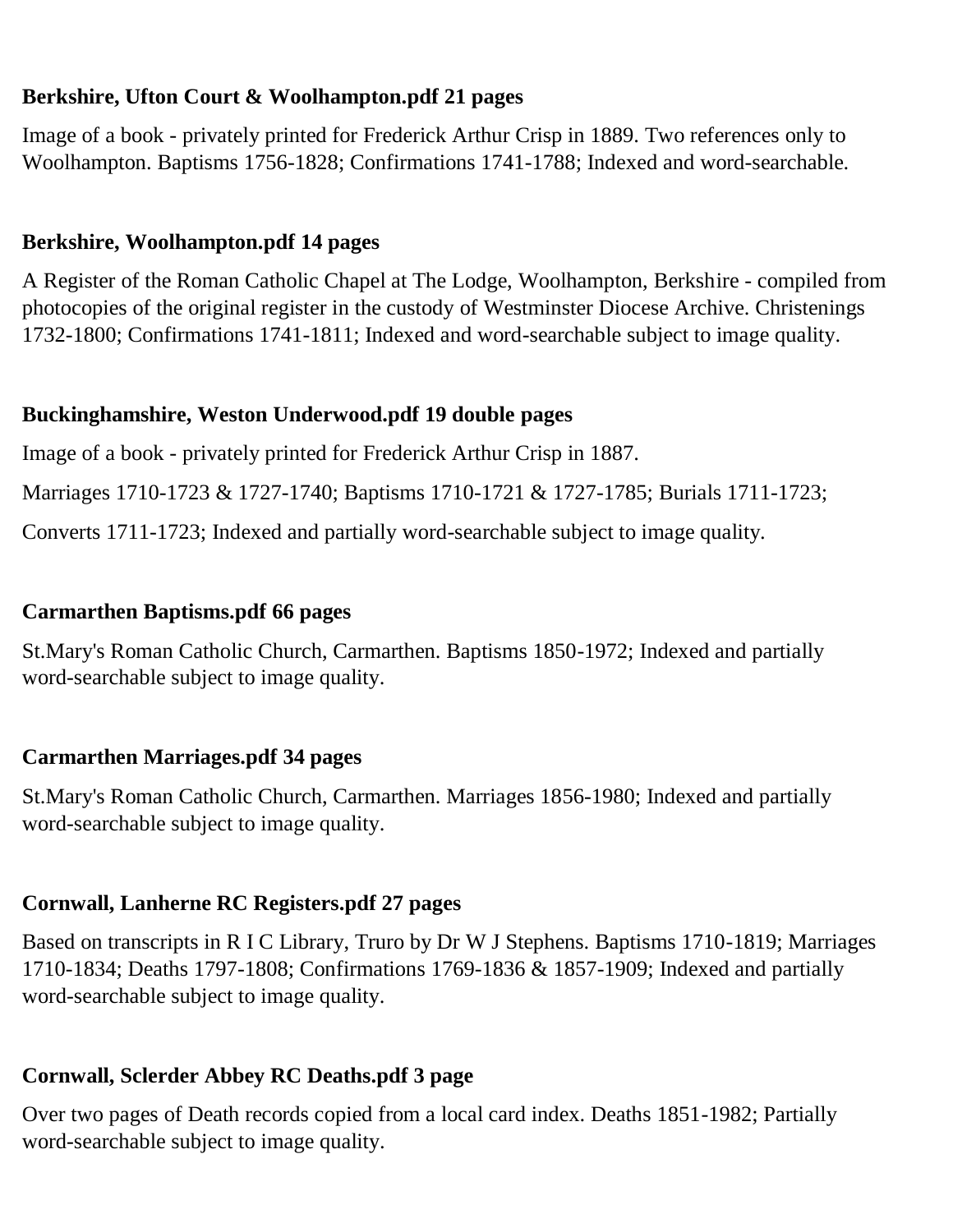### **Berkshire, Ufton Court & Woolhampton.pdf 21 pages**

Image of a book - privately printed for Frederick Arthur Crisp in 1889. Two references only to Woolhampton. Baptisms 1756-1828; Confirmations 1741-1788; Indexed and word-searchable.

### **Berkshire, Woolhampton.pdf 14 pages**

A Register of the Roman Catholic Chapel at The Lodge, Woolhampton, Berkshire - compiled from photocopies of the original register in the custody of Westminster Diocese Archive. Christenings 1732-1800; Confirmations 1741-1811; Indexed and word-searchable subject to image quality.

#### **Buckinghamshire, Weston Underwood.pdf 19 double pages**

Image of a book - privately printed for Frederick Arthur Crisp in 1887.

Marriages 1710-1723 & 1727-1740; Baptisms 1710-1721 & 1727-1785; Burials 1711-1723;

Converts 1711-1723; Indexed and partially word-searchable subject to image quality.

#### **Carmarthen Baptisms.pdf 66 pages**

St.Mary's Roman Catholic Church, Carmarthen. Baptisms 1850-1972; Indexed and partially word-searchable subject to image quality.

### **Carmarthen Marriages.pdf 34 pages**

St.Mary's Roman Catholic Church, Carmarthen. Marriages 1856-1980; Indexed and partially word-searchable subject to image quality.

### **Cornwall, Lanherne RC Registers.pdf 27 pages**

Based on transcripts in R I C Library, Truro by Dr W J Stephens. Baptisms 1710-1819; Marriages 1710-1834; Deaths 1797-1808; Confirmations 1769-1836 & 1857-1909; Indexed and partially word-searchable subject to image quality.

## **Cornwall, Sclerder Abbey RC Deaths.pdf 3 page**

Over two pages of Death records copied from a local card index. Deaths 1851-1982; Partially word-searchable subject to image quality.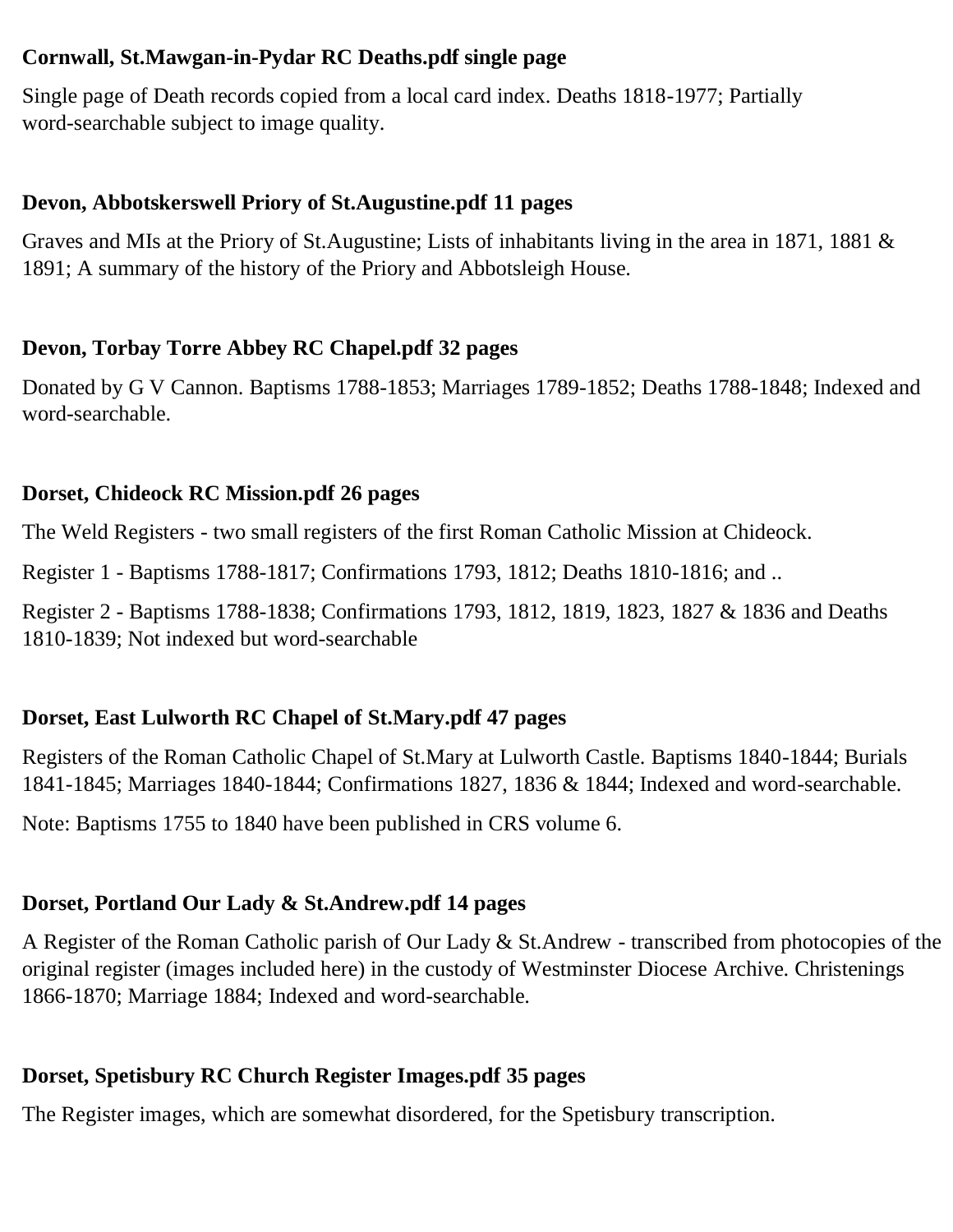### **Cornwall, St.Mawgan-in-Pydar RC Deaths.pdf single page**

Single page of Death records copied from a local card index. Deaths 1818-1977; Partially word-searchable subject to image quality.

### **Devon, Abbotskerswell Priory of St.Augustine.pdf 11 pages**

Graves and MIs at the Priory of St.Augustine; Lists of inhabitants living in the area in 1871, 1881 & 1891; A summary of the history of the Priory and Abbotsleigh House.

### **Devon, Torbay Torre Abbey RC Chapel.pdf 32 pages**

Donated by G V Cannon. Baptisms 1788-1853; Marriages 1789-1852; Deaths 1788-1848; Indexed and word-searchable.

### **Dorset, Chideock RC Mission.pdf 26 pages**

The Weld Registers - two small registers of the first Roman Catholic Mission at Chideock.

Register 1 - Baptisms 1788-1817; Confirmations 1793, 1812; Deaths 1810-1816; and ..

Register 2 - Baptisms 1788-1838; Confirmations 1793, 1812, 1819, 1823, 1827 & 1836 and Deaths 1810-1839; Not indexed but word-searchable

## **Dorset, East Lulworth RC Chapel of St.Mary.pdf 47 pages**

Registers of the Roman Catholic Chapel of St.Mary at Lulworth Castle. Baptisms 1840-1844; Burials 1841-1845; Marriages 1840-1844; Confirmations 1827, 1836 & 1844; Indexed and word-searchable.

Note: Baptisms 1755 to 1840 have been published in CRS volume 6.

## **Dorset, Portland Our Lady & St.Andrew.pdf 14 pages**

A Register of the Roman Catholic parish of Our Lady & St.Andrew - transcribed from photocopies of the original register (images included here) in the custody of Westminster Diocese Archive. Christenings 1866-1870; Marriage 1884; Indexed and word-searchable.

## **Dorset, Spetisbury RC Church Register Images.pdf 35 pages**

The Register images, which are somewhat disordered, for the Spetisbury transcription.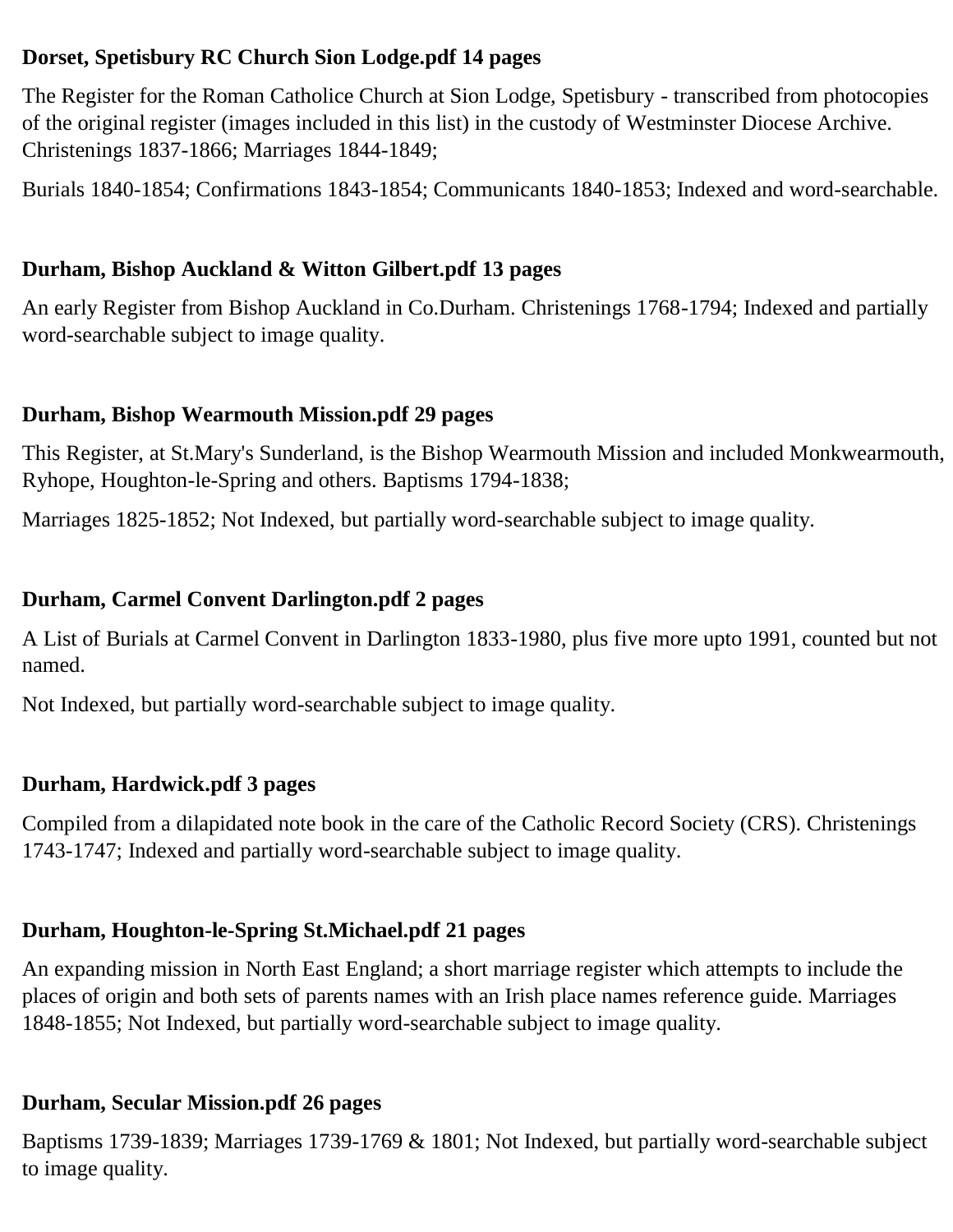### **Dorset, Spetisbury RC Church Sion Lodge.pdf 14 pages**

The Register for the Roman Catholice Church at Sion Lodge, Spetisbury - transcribed from photocopies of the original register (images included in this list) in the custody of Westminster Diocese Archive. Christenings 1837-1866; Marriages 1844-1849;

Burials 1840-1854; Confirmations 1843-1854; Communicants 1840-1853; Indexed and word-searchable.

### **Durham, Bishop Auckland & Witton Gilbert.pdf 13 pages**

An early Register from Bishop Auckland in Co.Durham. Christenings 1768-1794; Indexed and partially word-searchable subject to image quality.

### **Durham, Bishop Wearmouth Mission.pdf 29 pages**

This Register, at St.Mary's Sunderland, is the Bishop Wearmouth Mission and included Monkwearmouth, Ryhope, Houghton-le-Spring and others. Baptisms 1794-1838;

Marriages 1825-1852; Not Indexed, but partially word-searchable subject to image quality.

### **Durham, Carmel Convent Darlington.pdf 2 pages**

A List of Burials at Carmel Convent in Darlington 1833-1980, plus five more upto 1991, counted but not named.

Not Indexed, but partially word-searchable subject to image quality.

### **Durham, Hardwick.pdf 3 pages**

Compiled from a dilapidated note book in the care of the Catholic Record Society (CRS). Christenings 1743-1747; Indexed and partially word-searchable subject to image quality.

### **Durham, Houghton-le-Spring St.Michael.pdf 21 pages**

An expanding mission in North East England; a short marriage register which attempts to include the places of origin and both sets of parents names with an Irish place names reference guide. Marriages 1848-1855; Not Indexed, but partially word-searchable subject to image quality.

### **Durham, Secular Mission.pdf 26 pages**

Baptisms 1739-1839; Marriages 1739-1769 & 1801; Not Indexed, but partially word-searchable subject to image quality.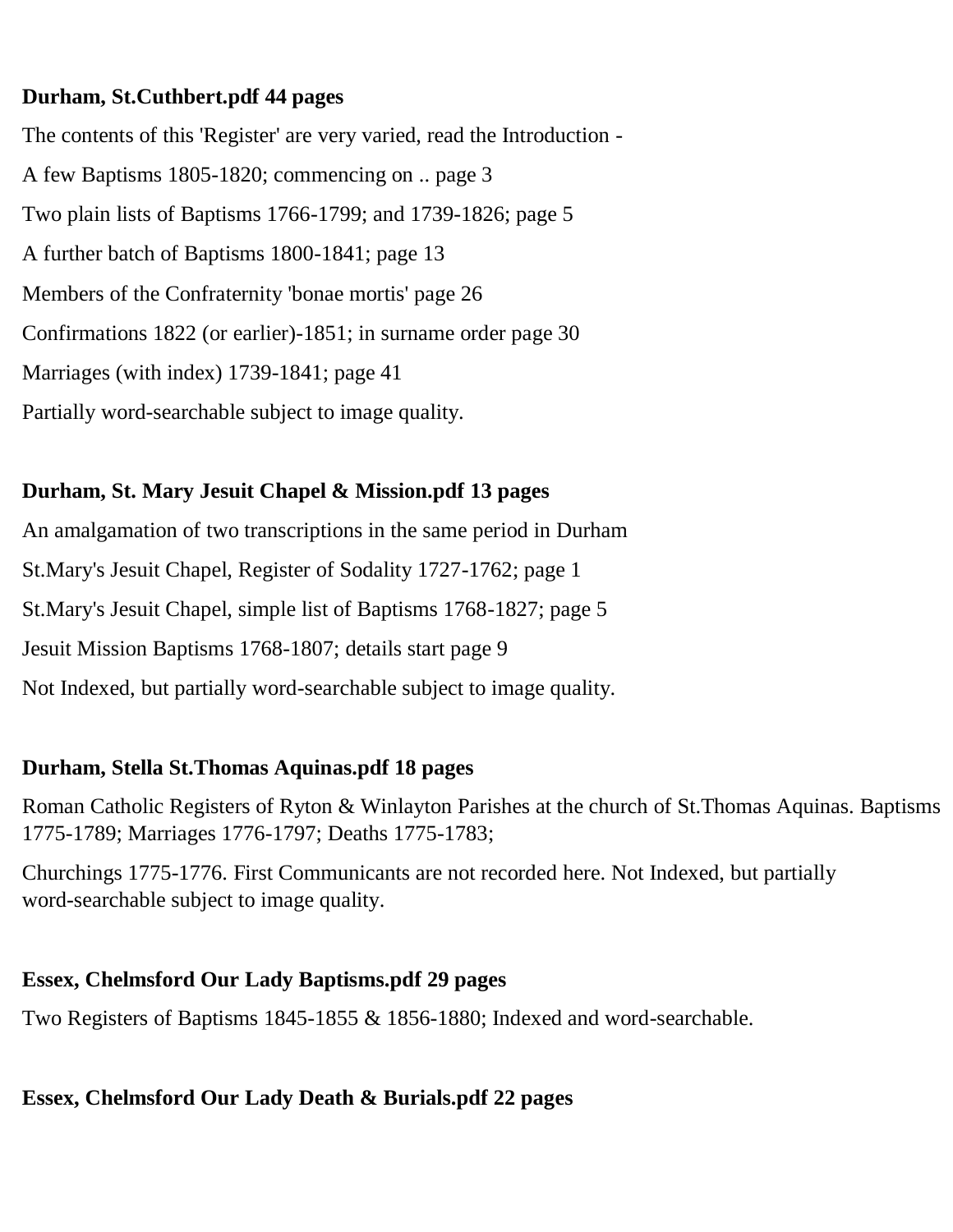### **Durham, St.Cuthbert.pdf 44 pages**

The contents of this 'Register' are very varied, read the Introduction - A few Baptisms 1805-1820; commencing on .. page 3 Two plain lists of Baptisms 1766-1799; and 1739-1826; page 5 A further batch of Baptisms 1800-1841; page 13 Members of the Confraternity 'bonae mortis' page 26 Confirmations 1822 (or earlier)-1851; in surname order page 30 Marriages (with index) 1739-1841; page 41 Partially word-searchable subject to image quality.

## **Durham, St. Mary Jesuit Chapel & Mission.pdf 13 pages**

An amalgamation of two transcriptions in the same period in Durham St.Mary's Jesuit Chapel, Register of Sodality 1727-1762; page 1 St.Mary's Jesuit Chapel, simple list of Baptisms 1768-1827; page 5 Jesuit Mission Baptisms 1768-1807; details start page 9 Not Indexed, but partially word-searchable subject to image quality.

### **Durham, Stella St.Thomas Aquinas.pdf 18 pages**

Roman Catholic Registers of Ryton & Winlayton Parishes at the church of St.Thomas Aquinas. Baptisms 1775-1789; Marriages 1776-1797; Deaths 1775-1783;

Churchings 1775-1776. First Communicants are not recorded here. Not Indexed, but partially word-searchable subject to image quality.

### **Essex, Chelmsford Our Lady Baptisms.pdf 29 pages**

Two Registers of Baptisms 1845-1855 & 1856-1880; Indexed and word-searchable.

### **Essex, Chelmsford Our Lady Death & Burials.pdf 22 pages**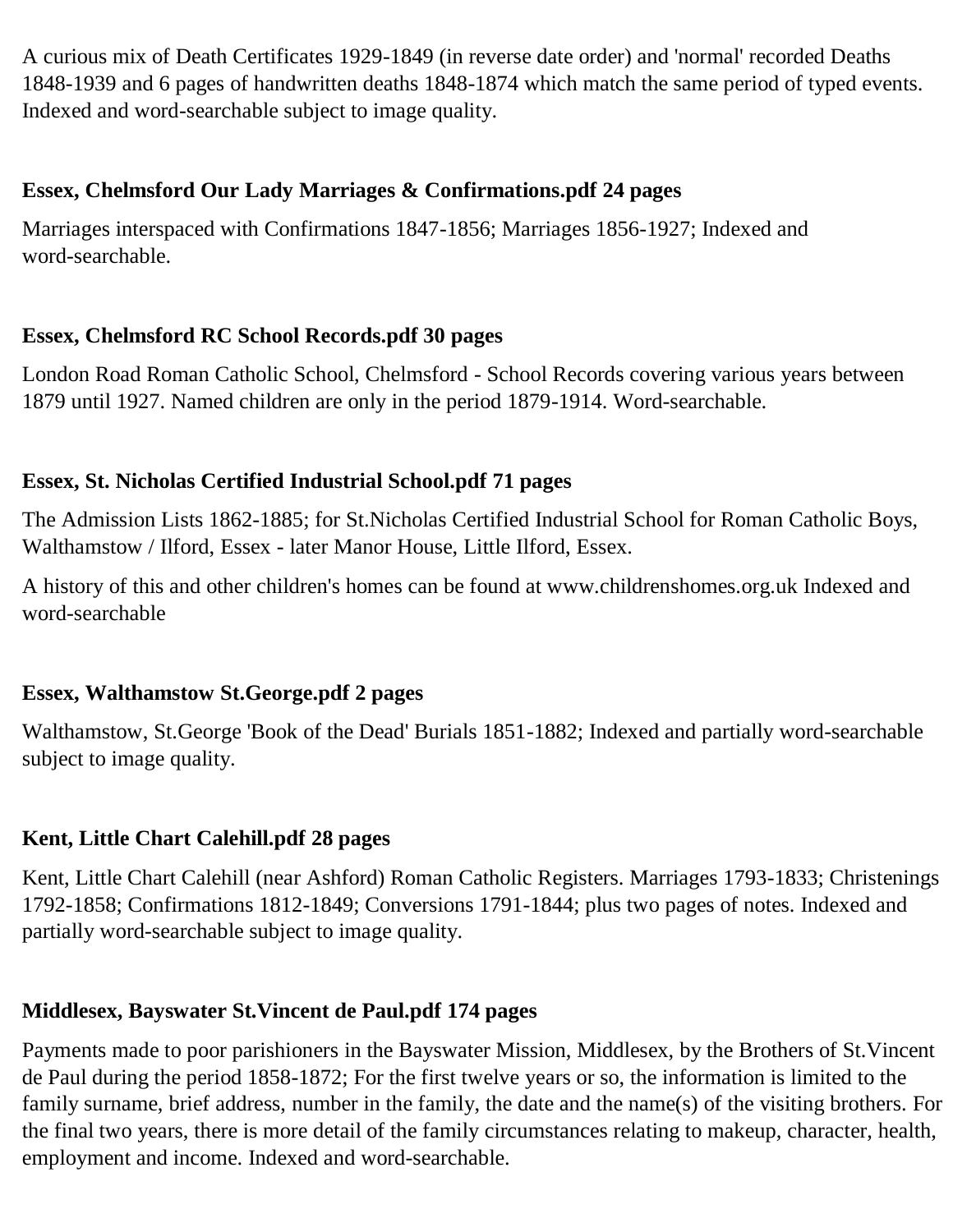A curious mix of Death Certificates 1929-1849 (in reverse date order) and 'normal' recorded Deaths 1848-1939 and 6 pages of handwritten deaths 1848-1874 which match the same period of typed events. Indexed and word-searchable subject to image quality.

### **Essex, Chelmsford Our Lady Marriages & Confirmations.pdf 24 pages**

Marriages interspaced with Confirmations 1847-1856; Marriages 1856-1927; Indexed and word-searchable.

## **Essex, Chelmsford RC School Records.pdf 30 pages**

London Road Roman Catholic School, Chelmsford - School Records covering various years between 1879 until 1927. Named children are only in the period 1879-1914. Word-searchable.

## **Essex, St. Nicholas Certified Industrial School.pdf 71 pages**

The Admission Lists 1862-1885; for St.Nicholas Certified Industrial School for Roman Catholic Boys, Walthamstow / Ilford, Essex - later Manor House, Little Ilford, Essex.

A history of this and other children's homes can be found at www.childrenshomes.org.uk Indexed and word-searchable

## **Essex, Walthamstow St.George.pdf 2 pages**

Walthamstow, St.George 'Book of the Dead' Burials 1851-1882; Indexed and partially word-searchable subject to image quality.

### **Kent, Little Chart Calehill.pdf 28 pages**

Kent, Little Chart Calehill (near Ashford) Roman Catholic Registers. Marriages 1793-1833; Christenings 1792-1858; Confirmations 1812-1849; Conversions 1791-1844; plus two pages of notes. Indexed and partially word-searchable subject to image quality.

## **Middlesex, Bayswater St.Vincent de Paul.pdf 174 pages**

Payments made to poor parishioners in the Bayswater Mission, Middlesex, by the Brothers of St.Vincent de Paul during the period 1858-1872; For the first twelve years or so, the information is limited to the family surname, brief address, number in the family, the date and the name(s) of the visiting brothers. For the final two years, there is more detail of the family circumstances relating to makeup, character, health, employment and income. Indexed and word-searchable.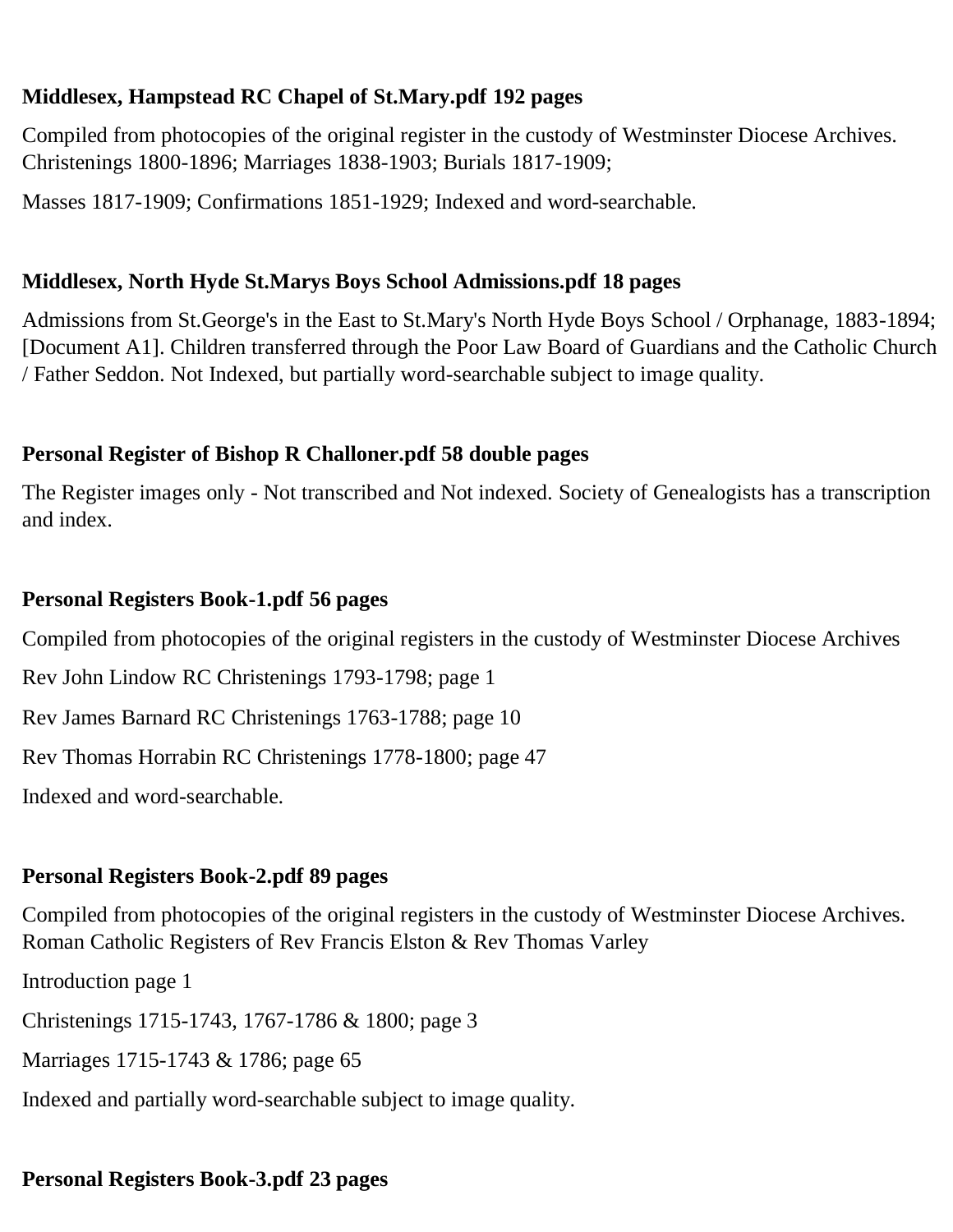## **Middlesex, Hampstead RC Chapel of St.Mary.pdf 192 pages**

Compiled from photocopies of the original register in the custody of Westminster Diocese Archives. Christenings 1800-1896; Marriages 1838-1903; Burials 1817-1909;

Masses 1817-1909; Confirmations 1851-1929; Indexed and word-searchable.

### **Middlesex, North Hyde St.Marys Boys School Admissions.pdf 18 pages**

Admissions from St.George's in the East to St.Mary's North Hyde Boys School / Orphanage, 1883-1894; [Document A1]. Children transferred through the Poor Law Board of Guardians and the Catholic Church / Father Seddon. Not Indexed, but partially word-searchable subject to image quality.

### **Personal Register of Bishop R Challoner.pdf 58 double pages**

The Register images only - Not transcribed and Not indexed. Society of Genealogists has a transcription and index.

#### **Personal Registers Book-1.pdf 56 pages**

Compiled from photocopies of the original registers in the custody of Westminster Diocese Archives

Rev John Lindow RC Christenings 1793-1798; page 1

Rev James Barnard RC Christenings 1763-1788; page 10

Rev Thomas Horrabin RC Christenings 1778-1800; page 47

Indexed and word-searchable.

### **Personal Registers Book-2.pdf 89 pages**

Compiled from photocopies of the original registers in the custody of Westminster Diocese Archives. Roman Catholic Registers of Rev Francis Elston & Rev Thomas Varley

Introduction page 1

Christenings 1715-1743, 1767-1786 & 1800; page 3

Marriages 1715-1743 & 1786; page 65

Indexed and partially word-searchable subject to image quality.

## **Personal Registers Book-3.pdf 23 pages**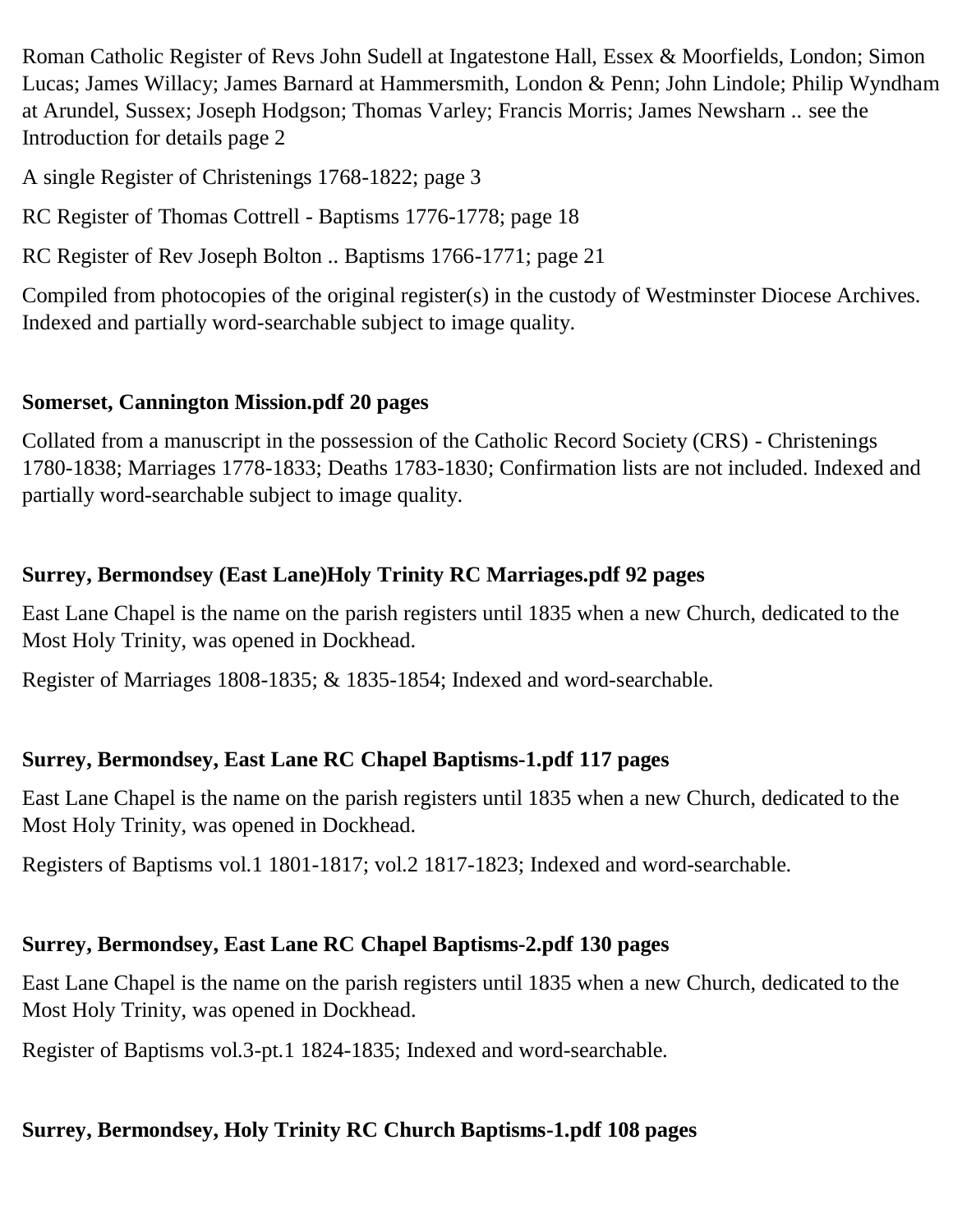Roman Catholic Register of Revs John Sudell at Ingatestone Hall, Essex & Moorfields, London; Simon Lucas; James Willacy; James Barnard at Hammersmith, London & Penn; John Lindole; Philip Wyndham at Arundel, Sussex; Joseph Hodgson; Thomas Varley; Francis Morris; James Newsharn .. see the Introduction for details page 2

A single Register of Christenings 1768-1822; page 3

RC Register of Thomas Cottrell - Baptisms 1776-1778; page 18

RC Register of Rev Joseph Bolton .. Baptisms 1766-1771; page 21

Compiled from photocopies of the original register(s) in the custody of Westminster Diocese Archives. Indexed and partially word-searchable subject to image quality.

### **Somerset, Cannington Mission.pdf 20 pages**

Collated from a manuscript in the possession of the Catholic Record Society (CRS) - Christenings 1780-1838; Marriages 1778-1833; Deaths 1783-1830; Confirmation lists are not included. Indexed and partially word-searchable subject to image quality.

### **Surrey, Bermondsey (East Lane)Holy Trinity RC Marriages.pdf 92 pages**

East Lane Chapel is the name on the parish registers until 1835 when a new Church, dedicated to the Most Holy Trinity, was opened in Dockhead.

Register of Marriages 1808-1835; & 1835-1854; Indexed and word-searchable.

### **Surrey, Bermondsey, East Lane RC Chapel Baptisms-1.pdf 117 pages**

East Lane Chapel is the name on the parish registers until 1835 when a new Church, dedicated to the Most Holy Trinity, was opened in Dockhead.

Registers of Baptisms vol.1 1801-1817; vol.2 1817-1823; Indexed and word-searchable.

### **Surrey, Bermondsey, East Lane RC Chapel Baptisms-2.pdf 130 pages**

East Lane Chapel is the name on the parish registers until 1835 when a new Church, dedicated to the Most Holy Trinity, was opened in Dockhead.

Register of Baptisms vol.3-pt.1 1824-1835; Indexed and word-searchable.

### **Surrey, Bermondsey, Holy Trinity RC Church Baptisms-1.pdf 108 pages**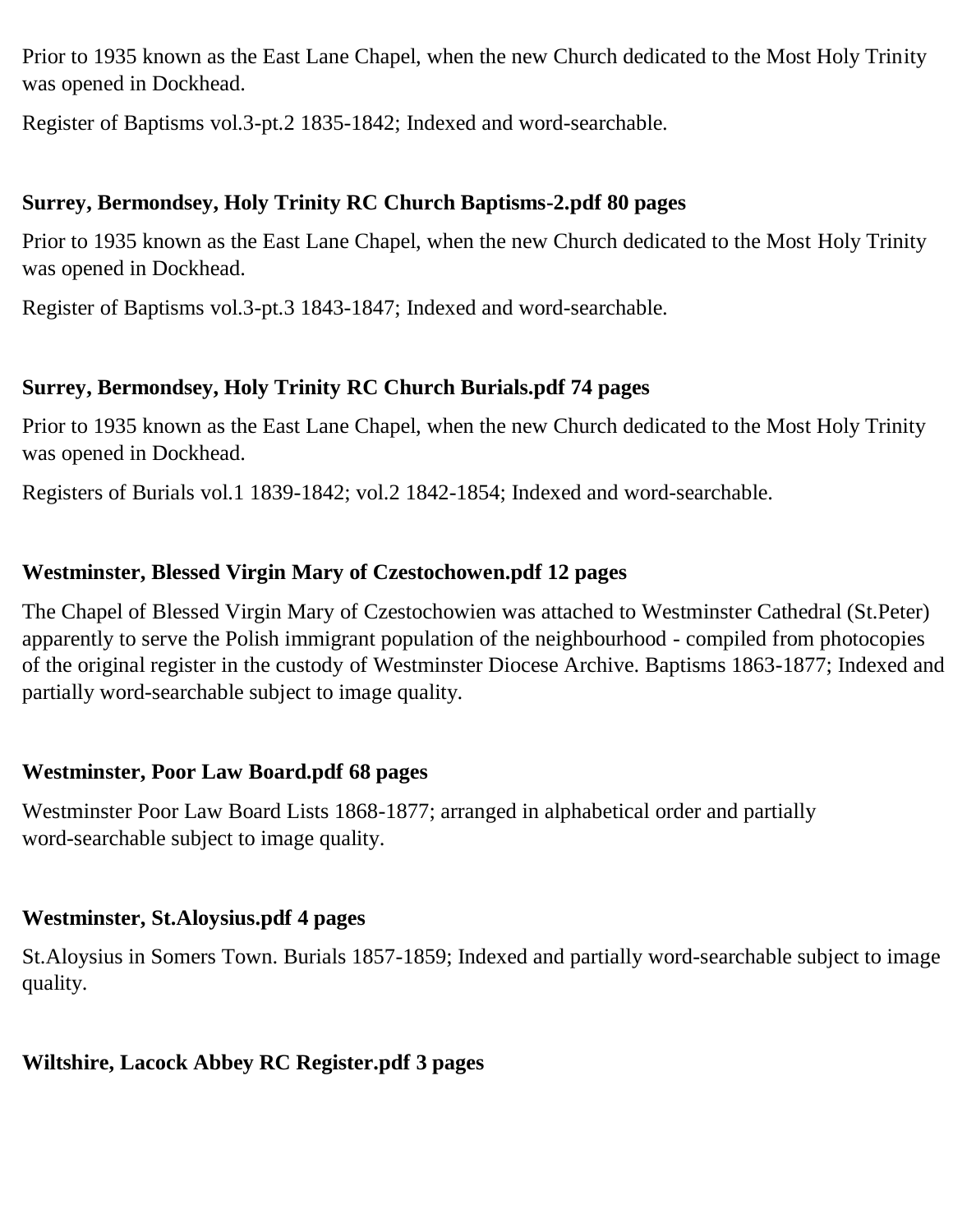Prior to 1935 known as the East Lane Chapel, when the new Church dedicated to the Most Holy Trinity was opened in Dockhead.

Register of Baptisms vol.3-pt.2 1835-1842; Indexed and word-searchable.

### **Surrey, Bermondsey, Holy Trinity RC Church Baptisms-2.pdf 80 pages**

Prior to 1935 known as the East Lane Chapel, when the new Church dedicated to the Most Holy Trinity was opened in Dockhead.

Register of Baptisms vol.3-pt.3 1843-1847; Indexed and word-searchable.

## **Surrey, Bermondsey, Holy Trinity RC Church Burials.pdf 74 pages**

Prior to 1935 known as the East Lane Chapel, when the new Church dedicated to the Most Holy Trinity was opened in Dockhead.

Registers of Burials vol.1 1839-1842; vol.2 1842-1854; Indexed and word-searchable.

## **Westminster, Blessed Virgin Mary of Czestochowen.pdf 12 pages**

The Chapel of Blessed Virgin Mary of Czestochowien was attached to Westminster Cathedral (St.Peter) apparently to serve the Polish immigrant population of the neighbourhood - compiled from photocopies of the original register in the custody of Westminster Diocese Archive. Baptisms 1863-1877; Indexed and partially word-searchable subject to image quality.

## **Westminster, Poor Law Board.pdf 68 pages**

Westminster Poor Law Board Lists 1868-1877; arranged in alphabetical order and partially word-searchable subject to image quality.

## **Westminster, St.Aloysius.pdf 4 pages**

St.Aloysius in Somers Town. Burials 1857-1859; Indexed and partially word-searchable subject to image quality.

## **Wiltshire, Lacock Abbey RC Register.pdf 3 pages**